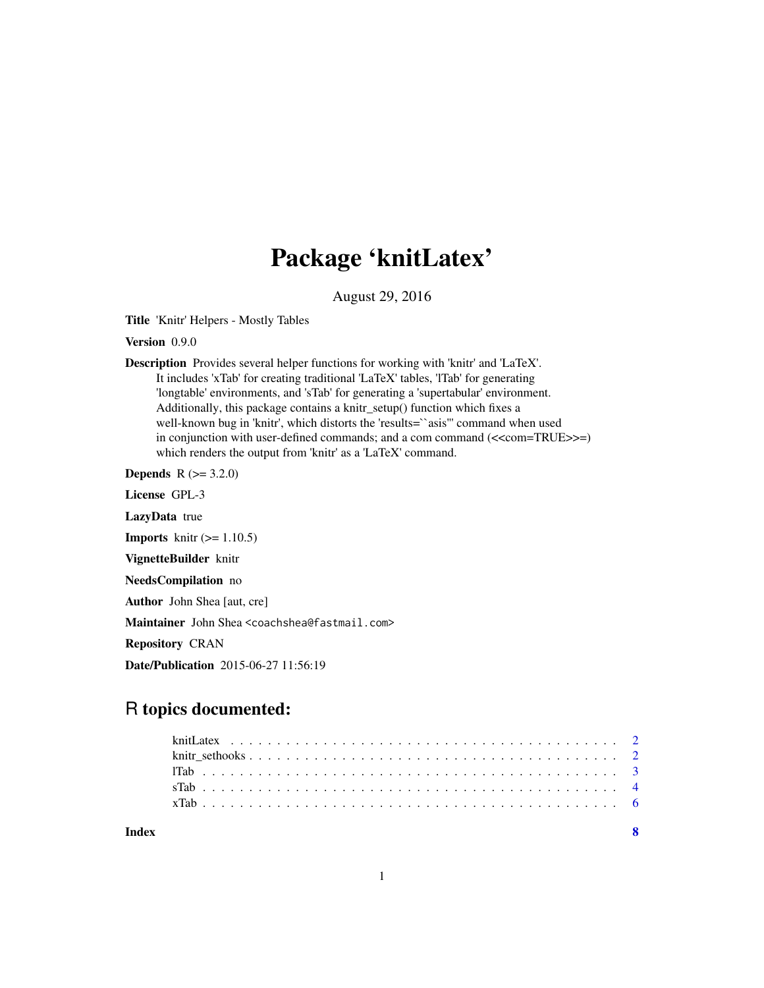## Package 'knitLatex'

August 29, 2016

Title 'Knitr' Helpers - Mostly Tables

Version 0.9.0

Description Provides several helper functions for working with 'knitr' and 'LaTeX'. It includes 'xTab' for creating traditional 'LaTeX' tables, 'lTab' for generating 'longtable' environments, and 'sTab' for generating a 'supertabular' environment. Additionally, this package contains a knitr\_setup() function which fixes a well-known bug in 'knitr', which distorts the 'results=``asis'" command when used in conjunction with user-defined commands; and a com command  $\ll$  com=TRUE>>=) which renders the output from 'knitr' as a 'LaTeX' command.

**Depends** R  $(>= 3.2.0)$ 

License GPL-3 LazyData true **Imports** knitr  $(>= 1.10.5)$ VignetteBuilder knitr NeedsCompilation no Author John Shea [aut, cre] Maintainer John Shea <coachshea@fastmail.com>

Repository CRAN

Date/Publication 2015-06-27 11:56:19

### R topics documented:

| Index |  |  |  |  |  |  |  |  |  |  |  |  |  |  |  |  |  |  |  |  | $\overline{\mathbf{R}}$ |
|-------|--|--|--|--|--|--|--|--|--|--|--|--|--|--|--|--|--|--|--|--|-------------------------|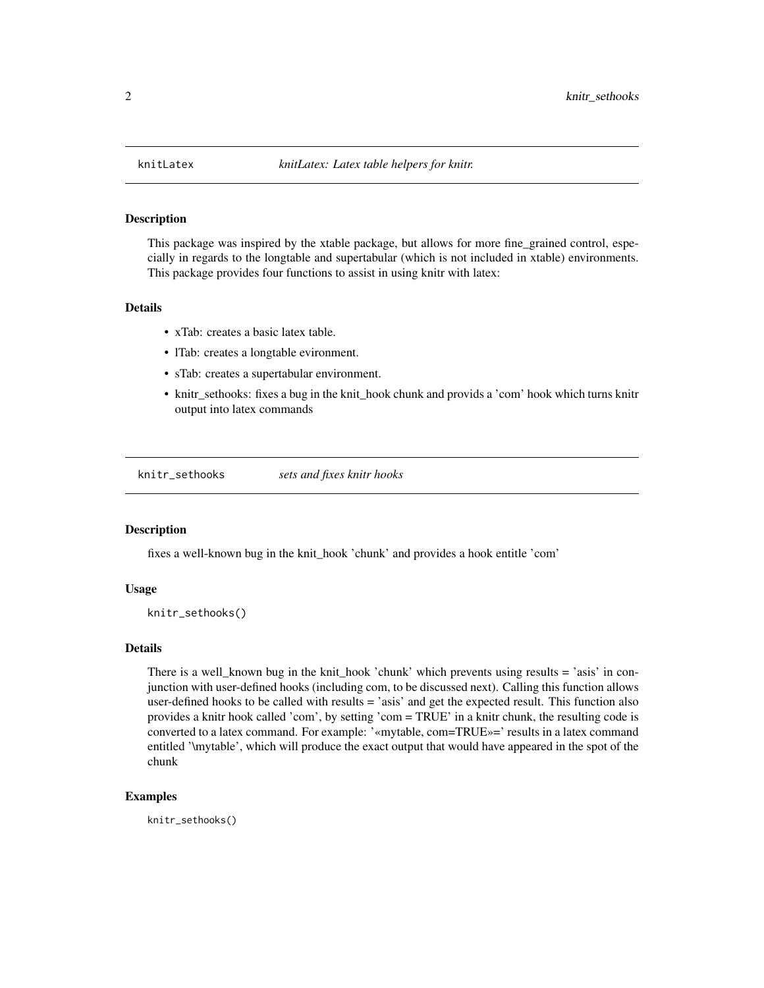<span id="page-1-0"></span>

#### **Description**

This package was inspired by the xtable package, but allows for more fine\_grained control, especially in regards to the longtable and supertabular (which is not included in xtable) environments. This package provides four functions to assist in using knitr with latex:

#### Details

- xTab: creates a basic latex table.
- lTab: creates a longtable evironment.
- sTab: creates a supertabular environment.
- knitr\_sethooks: fixes a bug in the knit\_hook chunk and provids a 'com' hook which turns knitr output into latex commands

knitr\_sethooks *sets and fixes knitr hooks*

#### Description

fixes a well-known bug in the knit\_hook 'chunk' and provides a hook entitle 'com'

#### Usage

knitr\_sethooks()

#### Details

There is a well\_known bug in the knit\_hook 'chunk' which prevents using results = 'asis' in conjunction with user-defined hooks (including com, to be discussed next). Calling this function allows user-defined hooks to be called with results = 'asis' and get the expected result. This function also provides a knitr hook called 'com', by setting 'com = TRUE' in a knitr chunk, the resulting code is converted to a latex command. For example: '«mytable, com=TRUE»=' results in a latex command entitled '\mytable', which will produce the exact output that would have appeared in the spot of the chunk

#### Examples

knitr\_sethooks()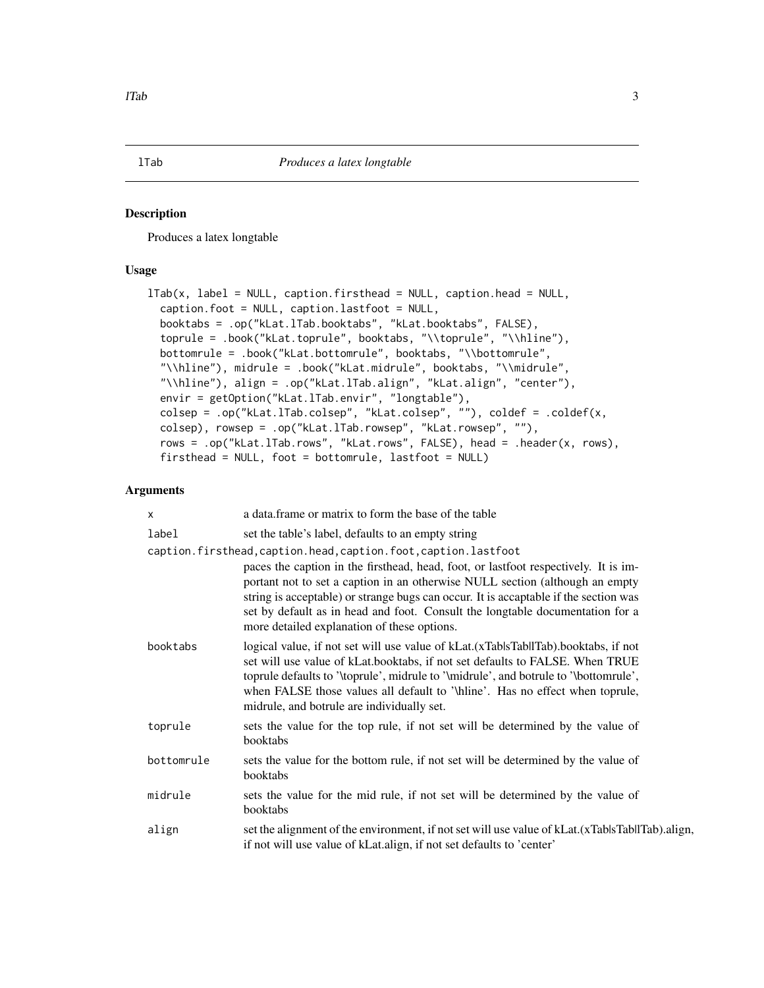#### <span id="page-2-0"></span>Description

Produces a latex longtable

#### Usage

```
lTab(x, label = NULL, caption.firsthead = NULL, caption.head = NULL,caption.foot = NULL, caption.lastfoot = NULL,
 booktabs = .op("kLat.lTab.booktabs", "kLat.booktabs", FALSE),
  toprule = .book("kLat.toprule", booktabs, "\\toprule", "\\hline"),
 bottomrule = .book("kLat.bottomrule", booktabs, "\\bottomrule",
  "\\hline"), midrule = .book("kLat.midrule", booktabs, "\\midrule",
  "\\hline"), align = .op("kLat.lTab.align", "kLat.align", "center"),
 envir = getOption("kLat.lTab.envir", "longtable"),
 colsep = .op("kLat.lTab.colsep", "kLat.colsep", ""), coldef = .coldef(x,
 colsep), rowsep = .op("kLat.lTab.rowsep", "kLat.rowsep", ""),
  rows = .op("kLat.lTab.rows", "kLat.rows", FALSE), head = .header(x, rows),
  firsthead = NULL, foot = bottomrule, lastfoot = NULL)
```
#### Arguments

| X          | a data frame or matrix to form the base of the table                                                                                                                                                                                                                                                                                                                                        |  |  |  |  |  |  |  |
|------------|---------------------------------------------------------------------------------------------------------------------------------------------------------------------------------------------------------------------------------------------------------------------------------------------------------------------------------------------------------------------------------------------|--|--|--|--|--|--|--|
| label      | set the table's label, defaults to an empty string                                                                                                                                                                                                                                                                                                                                          |  |  |  |  |  |  |  |
|            | caption.firsthead,caption.head,caption.foot,caption.lastfoot                                                                                                                                                                                                                                                                                                                                |  |  |  |  |  |  |  |
|            | paces the caption in the firsthead, head, foot, or lastfoot respectively. It is im-<br>portant not to set a caption in an otherwise NULL section (although an empty<br>string is acceptable) or strange bugs can occur. It is accaptable if the section was<br>set by default as in head and foot. Consult the longtable documentation for a<br>more detailed explanation of these options. |  |  |  |  |  |  |  |
| booktabs   | logical value, if not set will use value of kLat. (xTablsTabllTab). booktabs, if not<br>set will use value of kLat.booktabs, if not set defaults to FALSE. When TRUE<br>toprule defaults to '\toprule', midrule to '\midrule', and botrule to '\bottomrule',<br>when FALSE those values all default to '\hiline'. Has no effect when toprule,<br>midrule, and botrule are individually set. |  |  |  |  |  |  |  |
| toprule    | sets the value for the top rule, if not set will be determined by the value of<br>booktabs                                                                                                                                                                                                                                                                                                  |  |  |  |  |  |  |  |
| bottomrule | sets the value for the bottom rule, if not set will be determined by the value of<br>booktabs                                                                                                                                                                                                                                                                                               |  |  |  |  |  |  |  |
| midrule    | sets the value for the mid rule, if not set will be determined by the value of<br>booktabs                                                                                                                                                                                                                                                                                                  |  |  |  |  |  |  |  |
| align      | set the alignment of the environment, if not set will use value of kLat.(xTablsTabllTab).align,<br>if not will use value of kLat.align, if not set defaults to 'center'                                                                                                                                                                                                                     |  |  |  |  |  |  |  |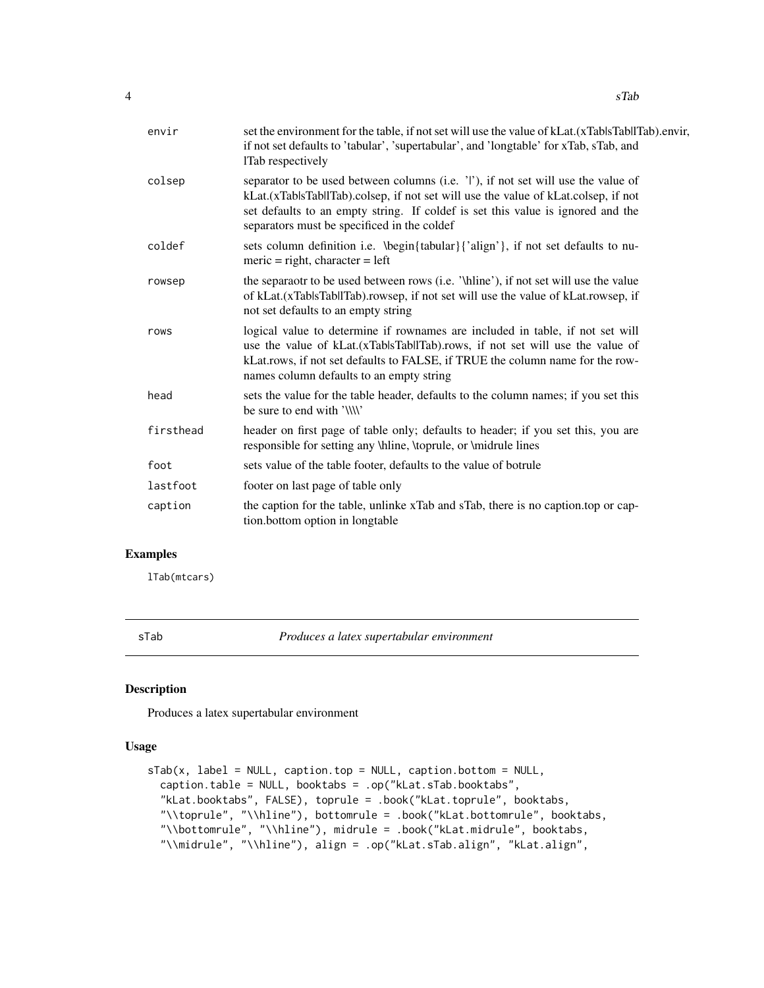<span id="page-3-0"></span>

| envir     | set the environment for the table, if not set will use the value of kLat. (xTablsTabllTab). envir,<br>if not set defaults to 'tabular', 'supertabular', and 'longtable' for xTab, sTab, and<br>lTab respectively                                                                                          |
|-----------|-----------------------------------------------------------------------------------------------------------------------------------------------------------------------------------------------------------------------------------------------------------------------------------------------------------|
| colsep    | separator to be used between columns (i.e. 'I'), if not set will use the value of<br>kLat.(xTablsTabllTab).colsep, if not set will use the value of kLat.colsep, if not<br>set defaults to an empty string. If coldef is set this value is ignored and the<br>separators must be specificed in the coldef |
| coldef    | sets column definition i.e. \begin{tabular}{'align'}, if not set defaults to nu-<br>$meric = right, character = left$                                                                                                                                                                                     |
| rowsep    | the separaotr to be used between rows (i.e. '\hline'), if not set will use the value<br>of kLat.(xTablsTabllTab).rowsep, if not set will use the value of kLat.rowsep, if<br>not set defaults to an empty string                                                                                          |
| rows      | logical value to determine if rownames are included in table, if not set will<br>use the value of kLat.(xTablsTabllTab).rows, if not set will use the value of<br>kLat.rows, if not set defaults to FALSE, if TRUE the column name for the row-<br>names column defaults to an empty string               |
| head      | sets the value for the table header, defaults to the column names; if you set this<br>be sure to end with '\\\\'                                                                                                                                                                                          |
| firsthead | header on first page of table only; defaults to header; if you set this, you are<br>responsible for setting any \hline, \toprule, or \midrule lines                                                                                                                                                       |
| foot      | sets value of the table footer, defaults to the value of botrule                                                                                                                                                                                                                                          |
| lastfoot  | footer on last page of table only                                                                                                                                                                                                                                                                         |
| caption   | the caption for the table, unlinke xTab and sTab, there is no caption top or cap-<br>tion.bottom option in longtable                                                                                                                                                                                      |

#### Examples

lTab(mtcars)

sTab *Produces a latex supertabular environment*

#### Description

Produces a latex supertabular environment

#### Usage

```
sTab(x, label = NULL, caption.top = NULL, caption.bottom = NULL,caption.table = NULL, booktabs = .op("kLat.sTab.booktabs",
  "kLat.booktabs", FALSE), toprule = .book("kLat.toprule", booktabs,
  "\\toprule", "\\hline"), bottomrule = .book("kLat.bottomrule", booktabs,
  "\\bottomrule", "\\hline"), midrule = .book("kLat.midrule", booktabs,
  "\\midrule", "\\hline"), align = .op("kLat.sTab.align", "kLat.align",
```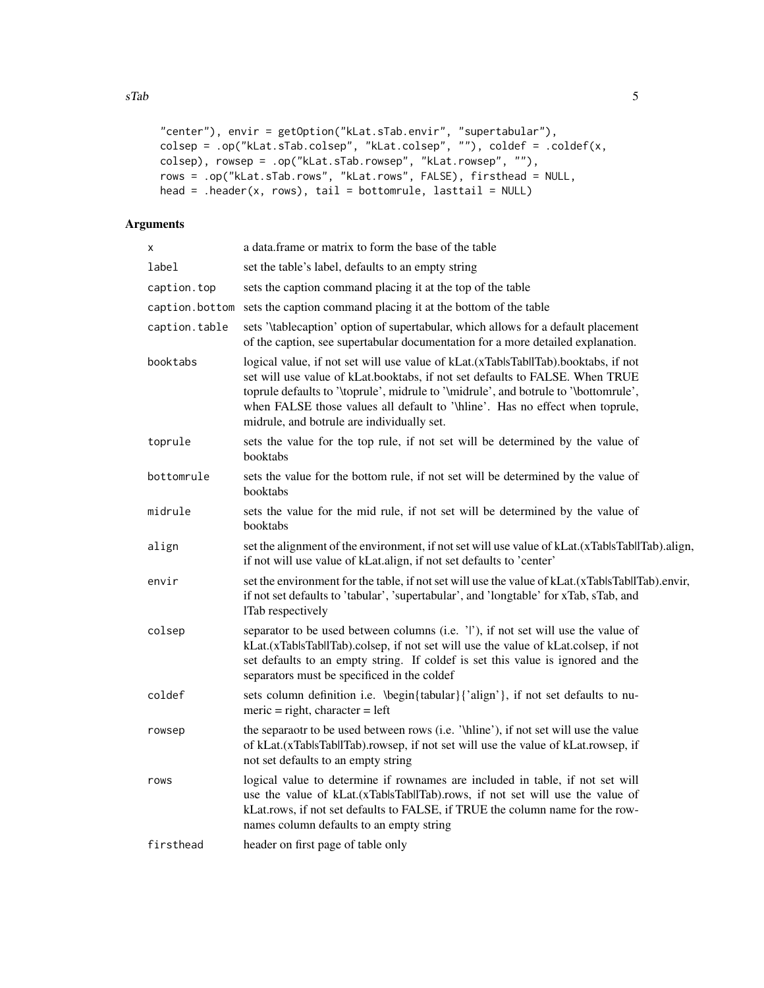```
"center"), envir = getOption("kLat.sTab.envir", "supertabular"),
colsep = .op("kLat.sTab.colsep", "kLat.colsep", ""), coldef = .coldef(x,
colsep), rowsep = .op("kLat.sTab.rowsep", "kLat.rowsep", ""),
rows = .op("kLat.sTab.rows", "kLat.rows", FALSE), firsthead = NULL,
head = .header(x, rows), tail = bottomrule, lasttail = NULL)
```
#### Arguments

| X              | a data frame or matrix to form the base of the table                                                                                                                                                                                                                                                                                                                                     |
|----------------|------------------------------------------------------------------------------------------------------------------------------------------------------------------------------------------------------------------------------------------------------------------------------------------------------------------------------------------------------------------------------------------|
| label          | set the table's label, defaults to an empty string                                                                                                                                                                                                                                                                                                                                       |
| caption.top    | sets the caption command placing it at the top of the table                                                                                                                                                                                                                                                                                                                              |
| caption.bottom | sets the caption command placing it at the bottom of the table                                                                                                                                                                                                                                                                                                                           |
| caption.table  | sets '\tablecaption' option of supertabular, which allows for a default placement<br>of the caption, see supertabular documentation for a more detailed explanation.                                                                                                                                                                                                                     |
| booktabs       | logical value, if not set will use value of kLat.(xTablsTabllTab).booktabs, if not<br>set will use value of kLat.booktabs, if not set defaults to FALSE. When TRUE<br>toprule defaults to '\toprule', midrule to '\midrule', and botrule to '\bottomrule',<br>when FALSE those values all default to '\hline'. Has no effect when toprule,<br>midrule, and botrule are individually set. |
| toprule        | sets the value for the top rule, if not set will be determined by the value of<br>booktabs                                                                                                                                                                                                                                                                                               |
| bottomrule     | sets the value for the bottom rule, if not set will be determined by the value of<br>booktabs                                                                                                                                                                                                                                                                                            |
| midrule        | sets the value for the mid rule, if not set will be determined by the value of<br>booktabs                                                                                                                                                                                                                                                                                               |
| align          | set the alignment of the environment, if not set will use value of kLat.(xTablsTabllTab).align,<br>if not will use value of kLat.align, if not set defaults to 'center'                                                                                                                                                                                                                  |
| envir          | set the environment for the table, if not set will use the value of kLat.(xTablsTabllTab).envir,<br>if not set defaults to 'tabular', 'supertabular', and 'longtable' for xTab, sTab, and<br>lTab respectively                                                                                                                                                                           |
| colsep         | separator to be used between columns (i.e. 'l'), if not set will use the value of<br>kLat.(xTablsTabllTab).colsep, if not set will use the value of kLat.colsep, if not<br>set defaults to an empty string. If coldef is set this value is ignored and the<br>separators must be specificed in the coldef                                                                                |
| coldef         | sets column definition i.e. \begin{tabular}{'align'}, if not set defaults to nu-<br>$meric = right, character = left$                                                                                                                                                                                                                                                                    |
| rowsep         | the separaotr to be used between rows (i.e. '\hline'), if not set will use the value<br>of kLat.(xTablsTabllTab).rowsep, if not set will use the value of kLat.rowsep, if<br>not set defaults to an empty string                                                                                                                                                                         |
| rows           | logical value to determine if rownames are included in table, if not set will<br>use the value of kLat.(xTablsTabllTab).rows, if not set will use the value of<br>kLat.rows, if not set defaults to FALSE, if TRUE the column name for the row-<br>names column defaults to an empty string                                                                                              |
| firsthead      | header on first page of table only                                                                                                                                                                                                                                                                                                                                                       |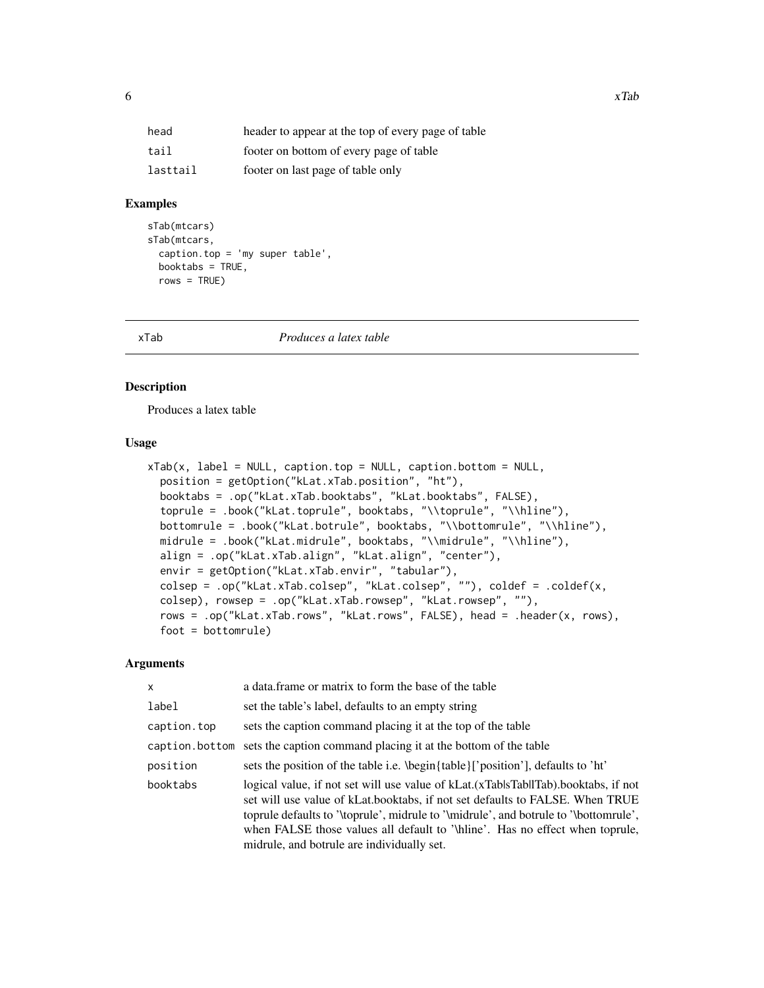<span id="page-5-0"></span>

| head     | header to appear at the top of every page of table |
|----------|----------------------------------------------------|
| tail     | footer on bottom of every page of table            |
| lasttail | footer on last page of table only                  |

#### Examples

```
sTab(mtcars)
sTab(mtcars,
 caption.top = 'my super table',
 booktabs = TRUE,
 rows = TRUE)
```
xTab *Produces a latex table*

#### Description

Produces a latex table

#### Usage

```
xTab(x, label = NULL, caption.top = NULL, caption.bottom = NULL,position = getOption("kLat.xTab.position", "ht"),
 booktabs = .op("kLat.xTab.booktabs", "kLat.booktabs", FALSE),
  toprule = .book("kLat.toprule", booktabs, "\\toprule", "\\hline"),
 bottomrule = .book("kLat.botrule", booktabs, "\\bottomrule", "\\hline"),
 midrule = .book("kLat.midrule", booktabs, "\\midrule", "\\hline"),
 align = .op("kLat.xTab.align", "kLat.align", "center"),
 envir = getOption("kLat.xTab.envir", "tabular"),
 colsep = .op("kLat.xTab.colsep", "kLat.colsep", ""), coldef = .coldef(x,
  colsep), rowsep = .op("kLat.xTab.rowsep", "kLat.rowsep", ""),
  rows = .op("kLat.xTab.rows", "kLat.rows", FALSE), head = .header(x, rows),
  foot = bottomrule)
```
#### Arguments

| $\mathsf{x}$   | a data frame or matrix to form the base of the table                                                                                                                                                                                                                                                                                                                                      |
|----------------|-------------------------------------------------------------------------------------------------------------------------------------------------------------------------------------------------------------------------------------------------------------------------------------------------------------------------------------------------------------------------------------------|
| label          | set the table's label, defaults to an empty string                                                                                                                                                                                                                                                                                                                                        |
| caption.top    | sets the caption command placing it at the top of the table                                                                                                                                                                                                                                                                                                                               |
| caption.bottom | sets the caption command placing it at the bottom of the table                                                                                                                                                                                                                                                                                                                            |
| position       | sets the position of the table i.e. \begin{table}['position'], defaults to 'ht'                                                                                                                                                                                                                                                                                                           |
| booktabs       | logical value, if not set will use value of kLat. (xTablsTabllTab). booktabs, if not<br>set will use value of kLat.booktabs, if not set defaults to FALSE. When TRUE<br>toprule defaults to '\toprule', midrule to '\midrule', and botrule to '\bottomrule',<br>when FALSE those values all default to '\hine'. Has no effect when toprule,<br>midrule, and botrule are individually set. |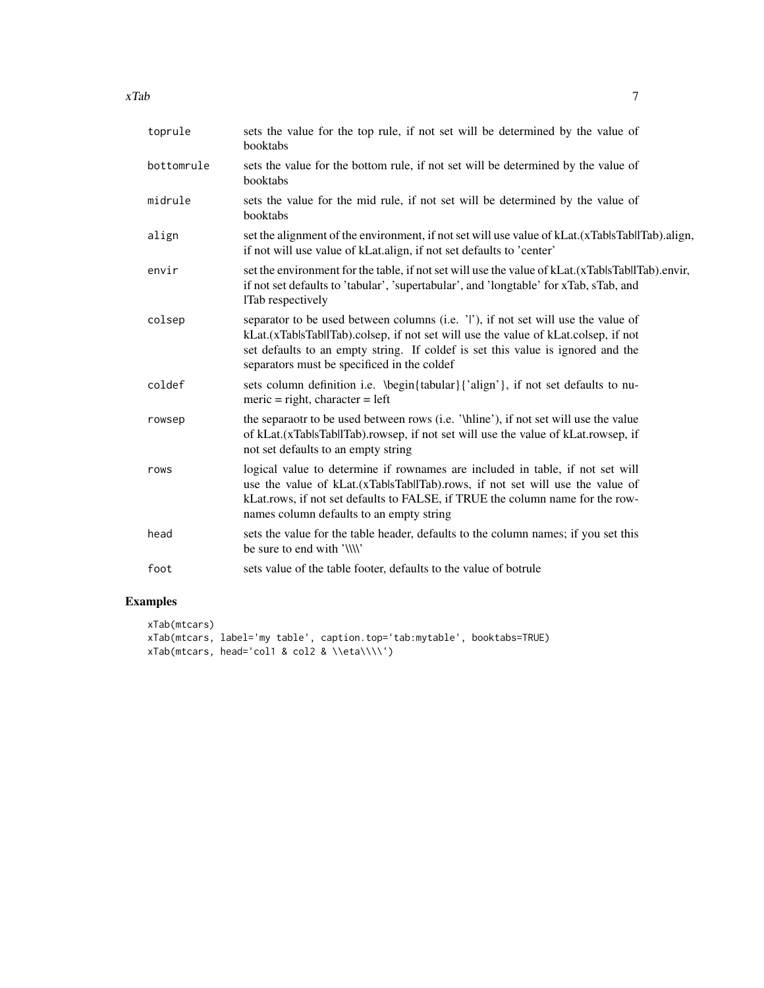| toprule    | sets the value for the top rule, if not set will be determined by the value of<br>booktabs                                                                                                                                                                                                                |
|------------|-----------------------------------------------------------------------------------------------------------------------------------------------------------------------------------------------------------------------------------------------------------------------------------------------------------|
| bottomrule | sets the value for the bottom rule, if not set will be determined by the value of<br>booktabs                                                                                                                                                                                                             |
| midrule    | sets the value for the mid rule, if not set will be determined by the value of<br>booktabs                                                                                                                                                                                                                |
| align      | set the alignment of the environment, if not set will use value of kLat.(xTablsTabllTab).align,<br>if not will use value of kLat.align, if not set defaults to 'center'                                                                                                                                   |
| envir      | set the environment for the table, if not set will use the value of kLat.(xTablsTabllTab).envir,<br>if not set defaults to 'tabular', 'supertabular', and 'longtable' for xTab, sTab, and<br>lTab respectively                                                                                            |
| colsep     | separator to be used between columns (i.e. 'l'), if not set will use the value of<br>kLat.(xTablsTabllTab).colsep, if not set will use the value of kLat.colsep, if not<br>set defaults to an empty string. If coldef is set this value is ignored and the<br>separators must be specificed in the coldef |
| coldef     | sets column definition i.e. \begin{tabular}{'align'}, if not set defaults to nu-<br>$meric = right, character = left$                                                                                                                                                                                     |
| rowsep     | the separaotr to be used between rows (i.e. '\hline'), if not set will use the value<br>of kLat.(xTablsTabllTab).rowsep, if not set will use the value of kLat.rowsep, if<br>not set defaults to an empty string                                                                                          |
| rows       | logical value to determine if rownames are included in table, if not set will<br>use the value of kLat.(xTablsTabllTab).rows, if not set will use the value of<br>kLat.rows, if not set defaults to FALSE, if TRUE the column name for the row-<br>names column defaults to an empty string               |
| head       | sets the value for the table header, defaults to the column names; if you set this<br>be sure to end with '\\\\'                                                                                                                                                                                          |
| foot       | sets value of the table footer, defaults to the value of botrule                                                                                                                                                                                                                                          |

#### Examples

```
xTab(mtcars)
xTab(mtcars, label='my table', caption.top='tab:mytable', booktabs=TRUE)
xTab(mtcars, head='col1 & col2 & \\eta\\\\')
```